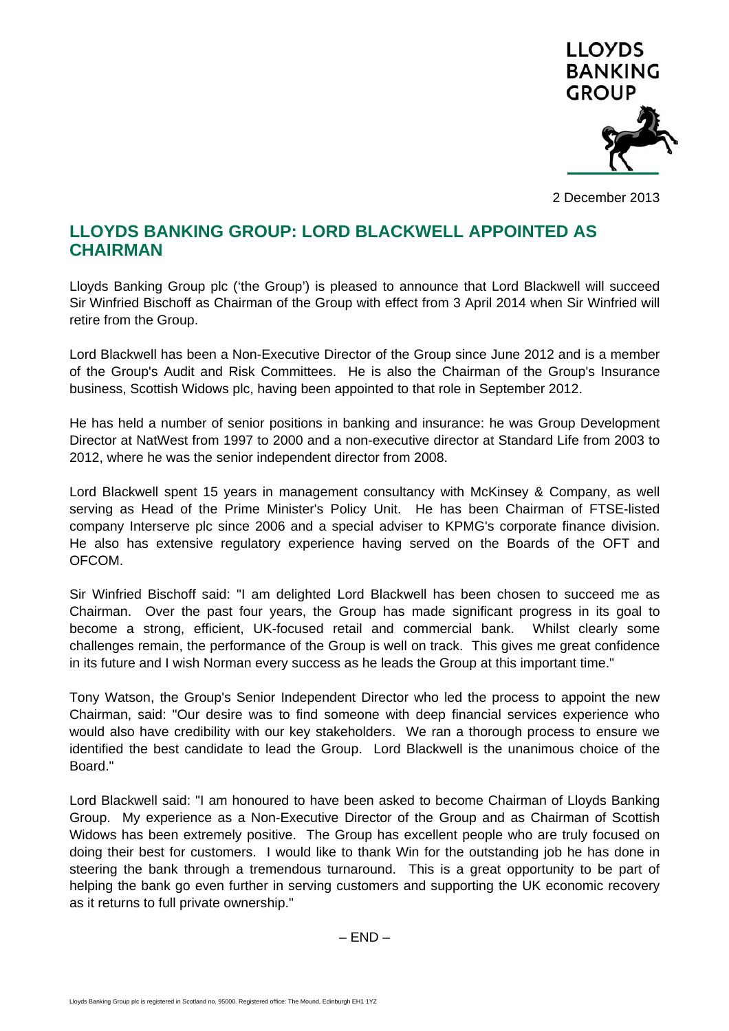

2 December 2013

## **LLOYDS BANKING GROUP: LORD BLACKWELL APPOINTED AS CHAIRMAN**

Lloyds Banking Group plc ('the Group') is pleased to announce that Lord Blackwell will succeed Sir Winfried Bischoff as Chairman of the Group with effect from 3 April 2014 when Sir Winfried will retire from the Group.

Lord Blackwell has been a Non-Executive Director of the Group since June 2012 and is a member of the Group's Audit and Risk Committees. He is also the Chairman of the Group's Insurance business, Scottish Widows plc, having been appointed to that role in September 2012.

He has held a number of senior positions in banking and insurance: he was Group Development Director at NatWest from 1997 to 2000 and a non-executive director at Standard Life from 2003 to 2012, where he was the senior independent director from 2008.

Lord Blackwell spent 15 years in management consultancy with McKinsey & Company, as well serving as Head of the Prime Minister's Policy Unit. He has been Chairman of FTSE-listed company Interserve plc since 2006 and a special adviser to KPMG's corporate finance division. He also has extensive regulatory experience having served on the Boards of the OFT and OFCOM.

Sir Winfried Bischoff said: "I am delighted Lord Blackwell has been chosen to succeed me as Chairman. Over the past four years, the Group has made significant progress in its goal to become a strong, efficient, UK-focused retail and commercial bank. Whilst clearly some challenges remain, the performance of the Group is well on track. This gives me great confidence in its future and I wish Norman every success as he leads the Group at this important time."

Tony Watson, the Group's Senior Independent Director who led the process to appoint the new Chairman, said: "Our desire was to find someone with deep financial services experience who would also have credibility with our key stakeholders. We ran a thorough process to ensure we identified the best candidate to lead the Group. Lord Blackwell is the unanimous choice of the Board."

Lord Blackwell said: "I am honoured to have been asked to become Chairman of Lloyds Banking Group. My experience as a Non-Executive Director of the Group and as Chairman of Scottish Widows has been extremely positive. The Group has excellent people who are truly focused on doing their best for customers. I would like to thank Win for the outstanding job he has done in steering the bank through a tremendous turnaround. This is a great opportunity to be part of helping the bank go even further in serving customers and supporting the UK economic recovery as it returns to full private ownership."

 $-$  END  $-$